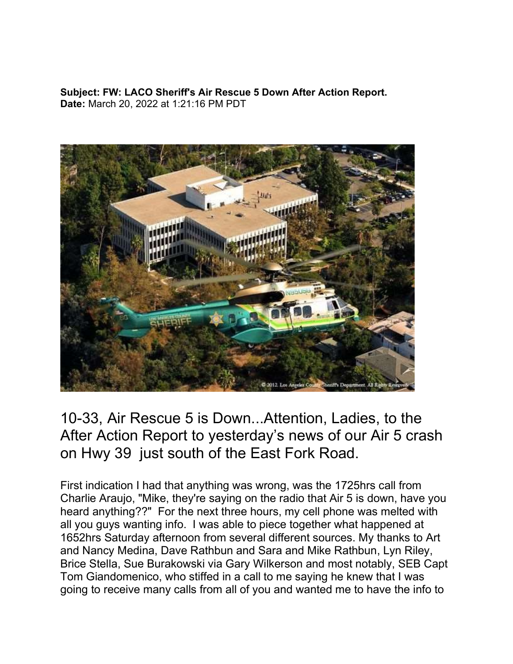Subject: FW: LACO Sheriff's Air Rescue 5 Down After Action Report. Date: March 20, 2022 at 1:21:16 PM PDT



10-33, Air Rescue 5 is Down...Attention, Ladies, to the After Action Report to yesterday's news of our Air 5 crash on Hwy 39 just south of the East Fork Road.

First indication I had that anything was wrong, was the 1725hrs call from Charlie Araujo, "Mike, they're saying on the radio that Air 5 is down, have you heard anything??" For the next three hours, my cell phone was melted with all you guys wanting info. I was able to piece together what happened at 1652hrs Saturday afternoon from several different sources. My thanks to Art and Nancy Medina, Dave Rathbun and Sara and Mike Rathbun, Lyn Riley, Brice Stella, Sue Burakowski via Gary Wilkerson and most notably, SEB Capt Tom Giandomenico, who stiffed in a call to me saying he knew that I was going to receive many calls from all of you and wanted me to have the info to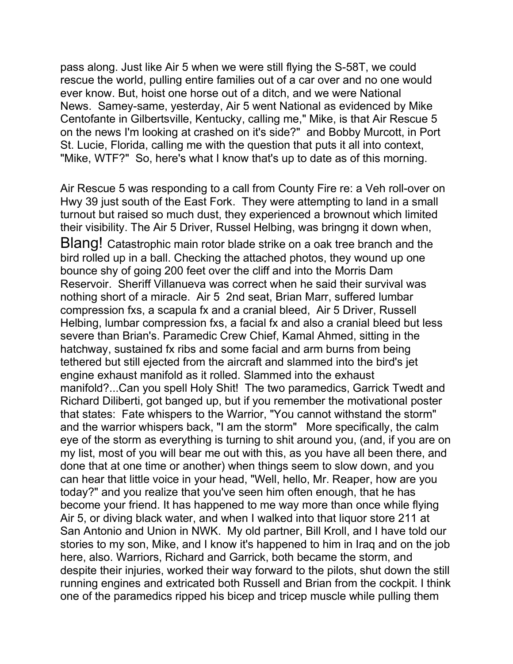pass along. Just like Air 5 when we were still flying the S-58T, we could rescue the world, pulling entire families out of a car over and no one would ever know. But, hoist one horse out of a ditch, and we were National News. Samey-same, yesterday, Air 5 went National as evidenced by Mike Centofante in Gilbertsville, Kentucky, calling me," Mike, is that Air Rescue 5 on the news I'm looking at crashed on it's side?" and Bobby Murcott, in Port St. Lucie, Florida, calling me with the question that puts it all into context, "Mike, WTF?" So, here's what I know that's up to date as of this morning.

Air Rescue 5 was responding to a call from County Fire re: a Veh roll-over on Hwy 39 just south of the East Fork. They were attempting to land in a small turnout but raised so much dust, they experienced a brownout which limited their visibility. The Air 5 Driver, Russel Helbing, was bringng it down when, Blang! Catastrophic main rotor blade strike on a oak tree branch and the bird rolled up in a ball. Checking the attached photos, they wound up one bounce shy of going 200 feet over the cliff and into the Morris Dam Reservoir. Sheriff Villanueva was correct when he said their survival was nothing short of a miracle. Air 5 2nd seat, Brian Marr, suffered lumbar compression fxs, a scapula fx and a cranial bleed, Air 5 Driver, Russell Helbing, lumbar compression fxs, a facial fx and also a cranial bleed but less severe than Brian's. Paramedic Crew Chief, Kamal Ahmed, sitting in the hatchway, sustained fx ribs and some facial and arm burns from being tethered but still ejected from the aircraft and slammed into the bird's jet engine exhaust manifold as it rolled. Slammed into the exhaust manifold?...Can you spell Holy Shit! The two paramedics, Garrick Twedt and Richard Diliberti, got banged up, but if you remember the motivational poster that states: Fate whispers to the Warrior, "You cannot withstand the storm" and the warrior whispers back, "I am the storm" More specifically, the calm eye of the storm as everything is turning to shit around you, (and, if you are on my list, most of you will bear me out with this, as you have all been there, and done that at one time or another) when things seem to slow down, and you can hear that little voice in your head, "Well, hello, Mr. Reaper, how are you today?" and you realize that you've seen him often enough, that he has become your friend. It has happened to me way more than once while flying Air 5, or diving black water, and when I walked into that liquor store 211 at San Antonio and Union in NWK. My old partner, Bill Kroll, and I have told our stories to my son, Mike, and I know it's happened to him in Iraq and on the job here, also. Warriors, Richard and Garrick, both became the storm, and despite their injuries, worked their way forward to the pilots, shut down the still running engines and extricated both Russell and Brian from the cockpit. I think one of the paramedics ripped his bicep and tricep muscle while pulling them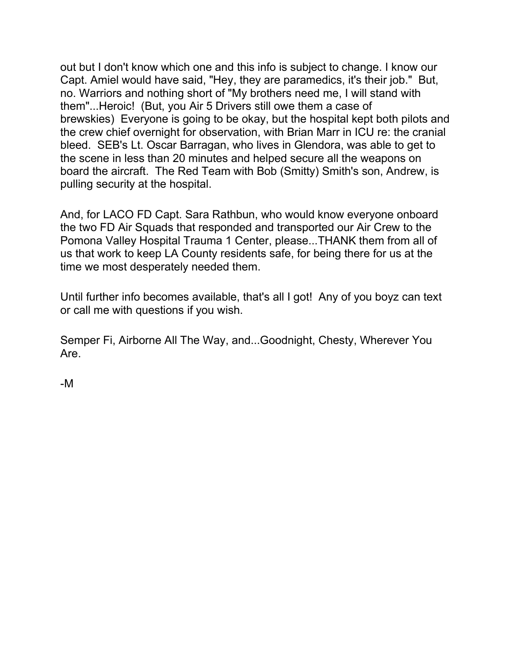out but I don't know which one and this info is subject to change. I know our Capt. Amiel would have said, "Hey, they are paramedics, it's their job." But, no. Warriors and nothing short of "My brothers need me, I will stand with them"...Heroic! (But, you Air 5 Drivers still owe them a case of brewskies) Everyone is going to be okay, but the hospital kept both pilots and the crew chief overnight for observation, with Brian Marr in ICU re: the cranial bleed. SEB's Lt. Oscar Barragan, who lives in Glendora, was able to get to the scene in less than 20 minutes and helped secure all the weapons on board the aircraft. The Red Team with Bob (Smitty) Smith's son, Andrew, is pulling security at the hospital.

And, for LACO FD Capt. Sara Rathbun, who would know everyone onboard the two FD Air Squads that responded and transported our Air Crew to the Pomona Valley Hospital Trauma 1 Center, please...THANK them from all of us that work to keep LA County residents safe, for being there for us at the time we most desperately needed them.

Until further info becomes available, that's all I got! Any of you boyz can text or call me with questions if you wish.

Semper Fi, Airborne All The Way, and...Goodnight, Chesty, Wherever You Are.

-M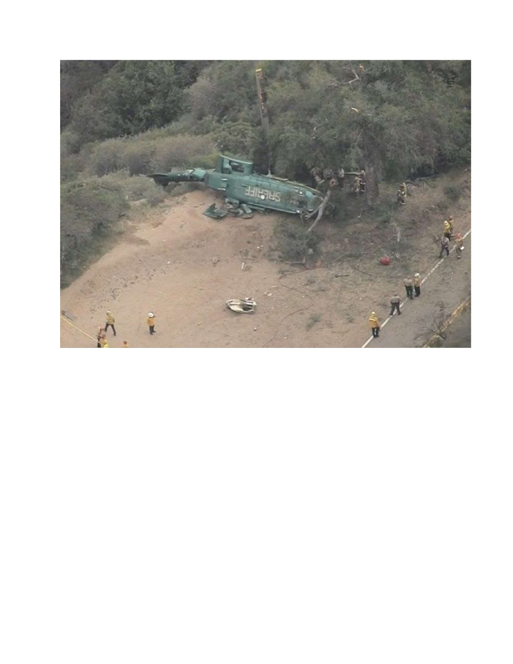